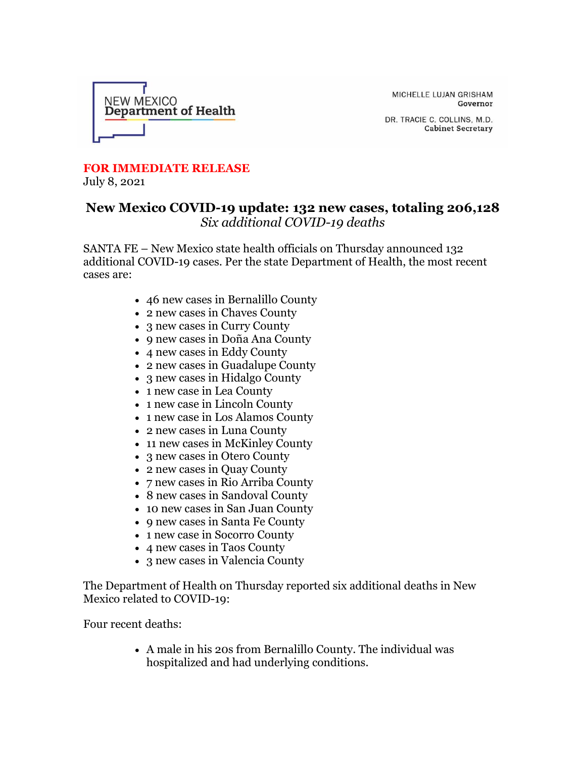

MICHELLE LUJAN GRISHAM Governor

DR. TRACIE C. COLLINS, M.D. **Cabinet Secretary** 

## **FOR IMMEDIATE RELEASE**

July 8, 2021

## **New Mexico COVID-19 update: 132 new cases, totaling 206,128** *Six additional COVID-19 deaths*

SANTA FE – New Mexico state health officials on Thursday announced 132 additional COVID-19 cases. Per the state Department of Health, the most recent cases are:

- 46 new cases in Bernalillo County
- 2 new cases in Chaves County
- 3 new cases in Curry County
- 9 new cases in Doña Ana County
- 4 new cases in Eddy County
- 2 new cases in Guadalupe County
- 3 new cases in Hidalgo County
- 1 new case in Lea County
- 1 new case in Lincoln County
- 1 new case in Los Alamos County
- 2 new cases in Luna County
- 11 new cases in McKinley County
- 3 new cases in Otero County
- 2 new cases in Quay County
- 7 new cases in Rio Arriba County
- 8 new cases in Sandoval County
- 10 new cases in San Juan County
- 9 new cases in Santa Fe County
- 1 new case in Socorro County
- 4 new cases in Taos County
- 3 new cases in Valencia County

The Department of Health on Thursday reported six additional deaths in New Mexico related to COVID-19:

Four recent deaths:

• A male in his 20s from Bernalillo County. The individual was hospitalized and had underlying conditions.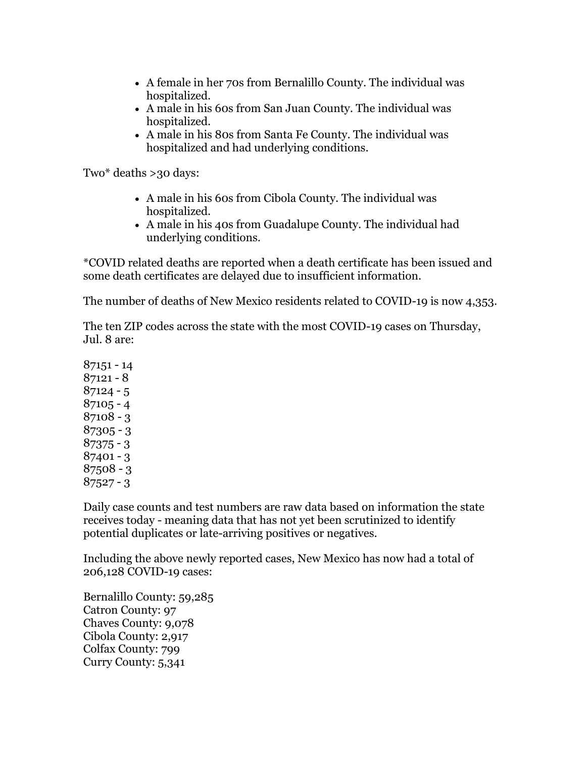- A female in her 70s from Bernalillo County. The individual was hospitalized.
- A male in his 60s from San Juan County. The individual was hospitalized.
- A male in his 80s from Santa Fe County. The individual was hospitalized and had underlying conditions.

Two\* deaths >30 days:

- A male in his 60s from Cibola County. The individual was hospitalized.
- A male in his 40s from Guadalupe County. The individual had underlying conditions.

\*COVID related deaths are reported when a death certificate has been issued and some death certificates are delayed due to insufficient information.

The number of deaths of New Mexico residents related to COVID-19 is now 4,353.

The ten ZIP codes across the state with the most COVID-19 cases on Thursday, Jul. 8 are:

Daily case counts and test numbers are raw data based on information the state receives today - meaning data that has not yet been scrutinized to identify potential duplicates or late-arriving positives or negatives.

Including the above newly reported cases, New Mexico has now had a total of 206,128 COVID-19 cases:

Bernalillo County: 59,285 Catron County: 97 Chaves County: 9,078 Cibola County: 2,917 Colfax County: 799 Curry County: 5,341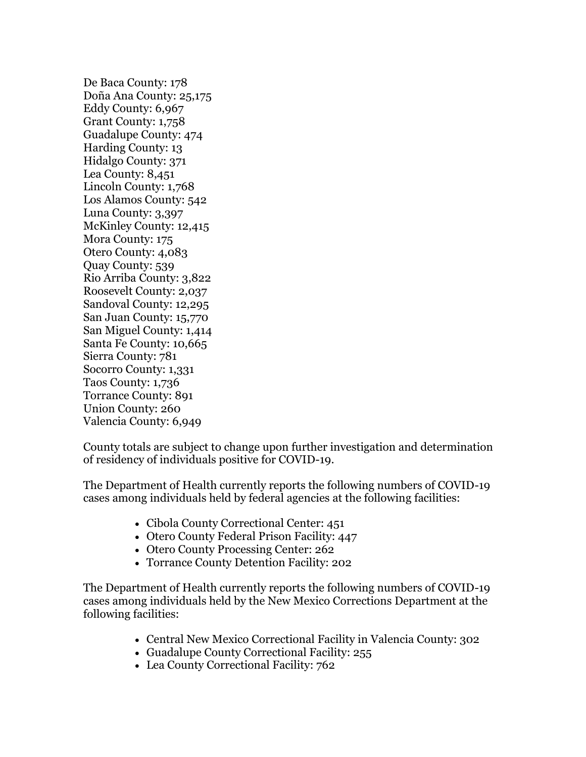De Baca County: 178 Doña Ana County: 25,175 Eddy County: 6,967 Grant County: 1,758 Guadalupe County: 474 Harding County: 13 Hidalgo County: 371 Lea County: 8,451 Lincoln County: 1,768 Los Alamos County: 542 Luna County: 3,397 McKinley County: 12,415 Mora County: 175 Otero County: 4,083 Quay County: 539 Rio Arriba County: 3,822 Roosevelt County: 2,037 Sandoval County: 12,295 San Juan County: 15,770 San Miguel County: 1,414 Santa Fe County: 10,665 Sierra County: 781 Socorro County: 1,331 Taos County: 1,736 Torrance County: 891 Union County: 260 Valencia County: 6,949

County totals are subject to change upon further investigation and determination of residency of individuals positive for COVID-19.

The Department of Health currently reports the following numbers of COVID-19 cases among individuals held by federal agencies at the following facilities:

- Cibola County Correctional Center: 451
- Otero County Federal Prison Facility: 447
- Otero County Processing Center: 262
- Torrance County Detention Facility: 202

The Department of Health currently reports the following numbers of COVID-19 cases among individuals held by the New Mexico Corrections Department at the following facilities:

- Central New Mexico Correctional Facility in Valencia County: 302
- Guadalupe County Correctional Facility: 255
- Lea County Correctional Facility: 762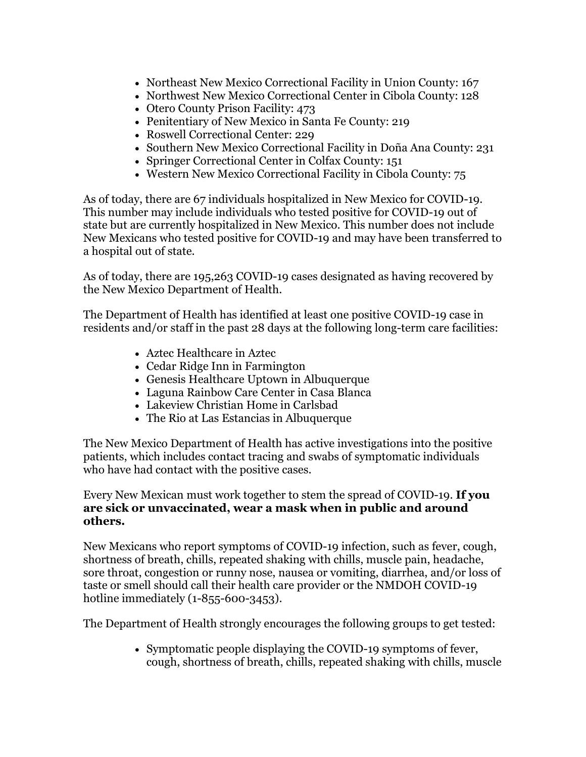- Northeast New Mexico Correctional Facility in Union County: 167
- Northwest New Mexico Correctional Center in Cibola County: 128
- Otero County Prison Facility: 473
- Penitentiary of New Mexico in Santa Fe County: 219
- Roswell Correctional Center: 229
- Southern New Mexico Correctional Facility in Doña Ana County: 231
- Springer Correctional Center in Colfax County: 151
- Western New Mexico Correctional Facility in Cibola County: 75

As of today, there are 67 individuals hospitalized in New Mexico for COVID-19. This number may include individuals who tested positive for COVID-19 out of state but are currently hospitalized in New Mexico. This number does not include New Mexicans who tested positive for COVID-19 and may have been transferred to a hospital out of state.

As of today, there are 195,263 COVID-19 cases designated as having recovered by the New Mexico Department of Health.

The Department of Health has identified at least one positive COVID-19 case in residents and/or staff in the past 28 days at the following long-term care facilities:

- Aztec Healthcare in Aztec
- Cedar Ridge Inn in Farmington
- Genesis Healthcare Uptown in Albuquerque
- Laguna Rainbow Care Center in Casa Blanca
- Lakeview Christian Home in Carlsbad
- The Rio at Las Estancias in Albuquerque

The New Mexico Department of Health has active investigations into the positive patients, which includes contact tracing and swabs of symptomatic individuals who have had contact with the positive cases.

## Every New Mexican must work together to stem the spread of COVID-19. **If you are sick or unvaccinated, wear a mask when in public and around others.**

New Mexicans who report symptoms of COVID-19 infection, such as fever, cough, shortness of breath, chills, repeated shaking with chills, muscle pain, headache, sore throat, congestion or runny nose, nausea or vomiting, diarrhea, and/or loss of taste or smell should call their health care provider or the NMDOH COVID-19 hotline immediately (1-855-600-3453).

The Department of Health strongly encourages the following groups to get tested:

• Symptomatic people displaying the COVID-19 symptoms of fever, cough, shortness of breath, chills, repeated shaking with chills, muscle